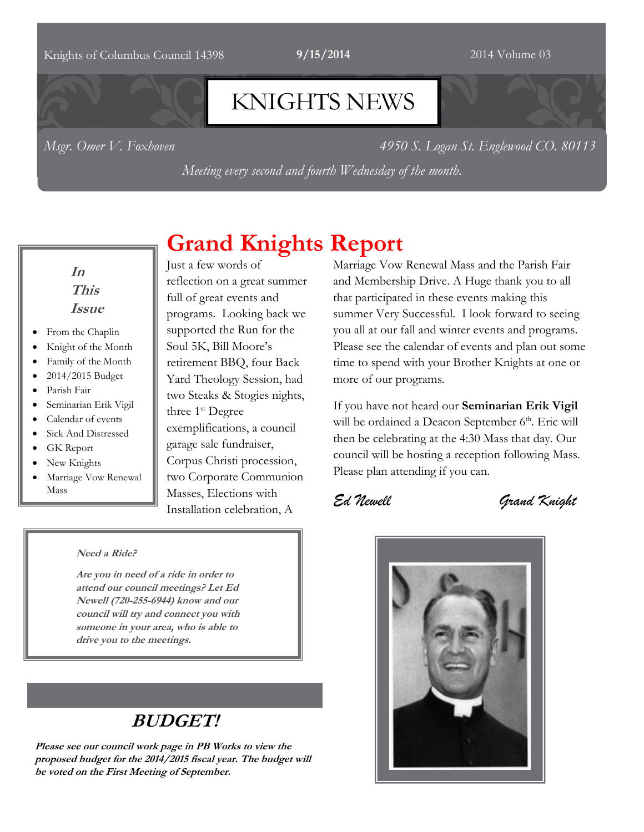### Knights of Columbus Council 14398 **9/15/2014** 2014 2014 Volume 03

# KNIGHTS NEWS

*Msgr. Omer V. Foxhoven 4950 S. Logan St. Englewood CO. 80113*

*Meeting every second and fourth Wednesday of the month.*

**Grand Knights Report**

### **In This Issue**

- From the Chaplin
- Knight of the Month
- Family of the Month
- 2014/2015 Budget
- Parish Fair
- Seminarian Erik Vigil
- Calendar of events
- Sick And Distressed
- GK Report
- New Knights
- Marriage Vow Renewal Mass

Just a few words of reflection on a great summer full of great events and programs. Looking back we supported the Run for the Soul 5K, Bill Moore's retirement BBQ, four Back Yard Theology Session, had two Steaks & Stogies nights, three 1<sup>st</sup> Degree exemplifications, a council garage sale fundraiser, Corpus Christi procession, two Corporate Communion Masses, Elections with Installation celebration, A

#### **Need a Ride?**

**Are you in need of a ride in order to attend our council meetings? Let Ed Newell (720-255-6944) know and our council will try and connect you with someone in your area, who is able to drive you to the meetings.** 

# **BUDGET!**

**Please see our council work page in PB Works to view the proposed budget for the 2014/2015 fiscal year. The budget will be voted on the First Meeting of September.**

Marriage Vow Renewal Mass and the Parish Fair and Membership Drive. A Huge thank you to all that participated in these events making this summer Very Successful. I look forward to seeing you all at our fall and winter events and programs. Please see the calendar of events and plan out some time to spend with your Brother Knights at one or more of our programs.

If you have not heard our **Seminarian Erik Vigil** will be ordained a Deacon September 6<sup>th</sup>. Eric will then be celebrating at the 4:30 Mass that day. Our council will be hosting a reception following Mass. Please plan attending if you can.

*Ed Newell Grand Knight*

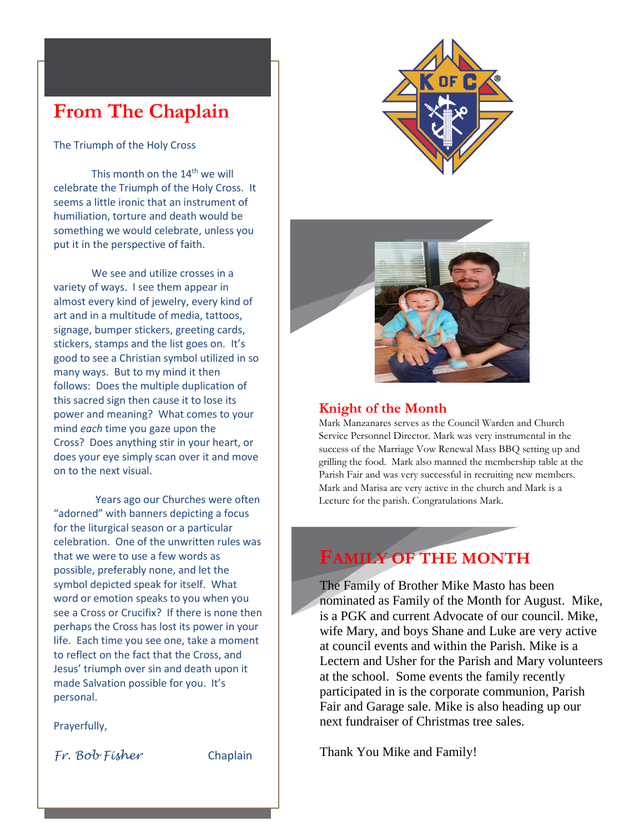# **From The Chaplain**

The Triumph of the Holy Cross

This month on the 14<sup>th</sup> we will celebrate the Triumph of the Holy Cross. It seems a little ironic that an instrument of humiliation, torture and death would be something we would celebrate, unless you put it in the perspective of faith.

We see and utilize crosses in a variety of ways. I see them appear in almost every kind of jewelry, every kind of art and in a multitude of media, tattoos, signage, bumper stickers, greeting cards, stickers, stamps and the list goes on. It's good to see a Christian symbol utilized in so many ways. But to my mind it then follows: Does the multiple duplication of this sacred sign then cause it to lose its power and meaning? What comes to your mind *each* time you gaze upon the Cross? Does anything stir in your heart, or does your eye simply scan over it and move on to the next visual.

Years ago our Churches were often "adorned" with banners depicting a focus for the liturgical season or a particular celebration. One of the unwritten rules was that we were to use a few words as possible, preferably none, and let the symbol depicted speak for itself. What word or emotion speaks to you when you see a Cross or Crucifix? If there is none then perhaps the Cross has lost its power in your life. Each time you see one, take a moment to reflect on the fact that the Cross, and Jesus' triumph over sin and death upon it made Salvation possible for you. It's personal.

Prayerfully,

*Fr. Bob Fisher* Chaplain





### **Knight of the Month**

Mark Manzanares serves as the Council Warden and Church Service Personnel Director. Mark was very instrumental in the success of the Marriage Vow Renewal Mass BBQ setting up and grilling the food. Mark also manned the membership table at the Parish Fair and was very successful in recruiting new members. Mark and Marisa are very active in the church and Mark is a Lecture for the parish. Congratulations Mark.

# **FAMILY OF THE MONTH**

The Family of Brother Mike Masto has been nominated as Family of the Month for August. Mike, is a PGK and current Advocate of our council. Mike, wife Mary, and boys Shane and Luke are very active at council events and within the Parish. Mike is a Lectern and Usher for the Parish and Mary volunteers at the school. Some events the family recently participated in is the corporate communion, Parish Fair and Garage sale. Mike is also heading up our next fundraiser of Christmas tree sales.

Thank You Mike and Family!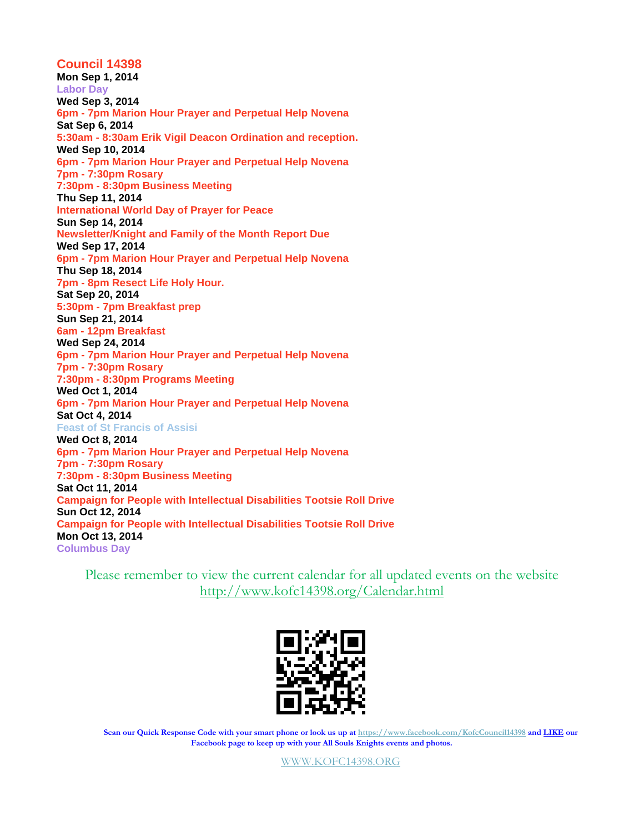#### **Council 14398 Mon Sep 1, 2014 Labor Day Wed Sep 3, 2014 6pm - 7pm Marion Hour Prayer and Perpetual Help Novena Sat Sep 6, 2014 5:30am - 8:30am Erik Vigil Deacon Ordination and reception. Wed Sep 10, 2014 6pm - 7pm Marion Hour Prayer and Perpetual Help Novena 7pm - 7:30pm Rosary 7:30pm - 8:30pm Business Meeting Thu Sep 11, 2014 International World Day of Prayer for Peace Sun Sep 14, 2014 Newsletter/Knight and Family of the Month Report Due Wed Sep 17, 2014 6pm - 7pm Marion Hour Prayer and Perpetual Help Novena Thu Sep 18, 2014 7pm - 8pm Resect Life Holy Hour. Sat Sep 20, 2014 5:30pm - 7pm Breakfast prep Sun Sep 21, 2014 6am - 12pm Breakfast Wed Sep 24, 2014 6pm - 7pm Marion Hour Prayer and Perpetual Help Novena 7pm - 7:30pm Rosary 7:30pm - 8:30pm Programs Meeting Wed Oct 1, 2014 6pm - 7pm Marion Hour Prayer and Perpetual Help Novena Sat Oct 4, 2014 Feast of St Francis of Assisi Wed Oct 8, 2014 6pm - 7pm Marion Hour Prayer and Perpetual Help Novena 7pm - 7:30pm Rosary 7:30pm - 8:30pm Business Meeting Sat Oct 11, 2014 Campaign for People with Intellectual Disabilities Tootsie Roll Drive Sun Oct 12, 2014 Campaign for People with Intellectual Disabilities Tootsie Roll Drive Mon Oct 13, 2014 Columbus Day**

Please remember to view the current calendar for all updated events on the website <http://www.kofc14398.org/Calendar.html>



**Scan our Quick Response Code with your smart phone or look us up at <https://www.facebook.com/KofcCouncil14398> and LIKE our Facebook page to keep up with your All Souls Knights events and photos.**

[WWW.KOFC14398.ORG](http://www.kofc14398.org/)